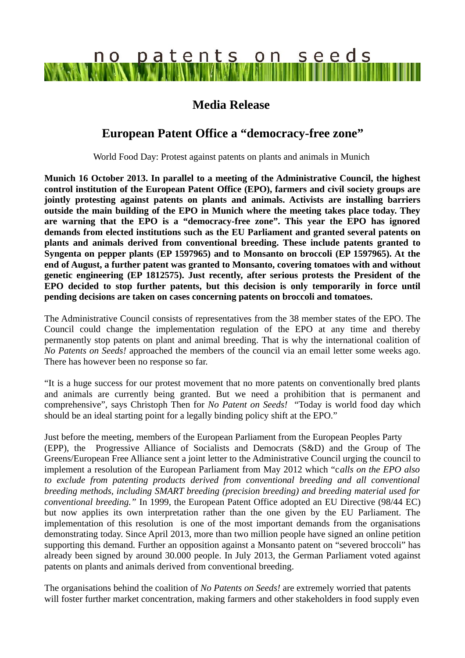# no patents on seeds

## **Media Release**

## **European Patent Office a "democracy-free zone"**

World Food Day: Protest against patents on plants and animals in Munich

**Munich 16 October 2013. In parallel to a meeting of the Administrative Council, the highest control institution of the European Patent Office (EPO), farmers and civil society groups are jointly protesting against patents on plants and animals. Activists are installing barriers outside the main building of the EPO in Munich where the meeting takes place today. They are warning that the EPO is a "democracy-free zone". This year the EPO has ignored demands from elected institutions such as the EU Parliament and granted several patents on plants and animals derived from conventional breeding. These include patents granted to Syngenta on pepper plants (EP 1597965) and to Monsanto on broccoli (EP 1597965). At the end of August, a further patent was granted to Monsanto, covering tomatoes with and without genetic engineering (EP 1812575). Just recently, after serious protests the President of the EPO decided to stop further patents, but this decision is only temporarily in force until pending decisions are taken on cases concerning patents on broccoli and tomatoes.** 

The Administrative Council consists of representatives from the 38 member states of the EPO. The Council could change the implementation regulation of the EPO at any time and thereby permanently stop patents on plant and animal breeding. That is why the international coalition of *No Patents on Seeds!* approached the members of the council via an email letter some weeks ago. There has however been no response so far.

"It is a huge success for our protest movement that no more patents on conventionally bred plants and animals are currently being granted. But we need a prohibition that is permanent and comprehensive", says Christoph Then for *No Patent on Seeds!* "Today is world food day which should be an ideal starting point for a legally binding policy shift at the EPO."

Just before the meeting, members of the European Parliament from the European Peoples Party (EPP), the Progressive Alliance of Socialists and Democrats (S&D) and the Group of The Greens/European Free Alliance sent a joint letter to the Administrative Council urging the council to implement a resolution of the European Parliament from May 2012 which "c*alls on the EPO also to exclude from patenting products derived from conventional breeding and all conventional breeding methods, including SMART breeding (precision breeding) and breeding material used for conventional breeding."* In 1999, the European Patent Office adopted an EU Directive (98/44 EC) but now applies its own interpretation rather than the one given by the EU Parliament. The implementation of this resolution is one of the most important demands from the organisations demonstrating today. Since April 2013, more than two million people have signed an online petition supporting this demand. Further an opposition against a Monsanto patent on "severed broccoli" has already been signed by around 30.000 people. In July 2013, the German Parliament voted against patents on plants and animals derived from conventional breeding.

The organisations behind the coalition of *No Patents on Seeds!* are extremely worried that patents will foster further market concentration, making farmers and other stakeholders in food supply even